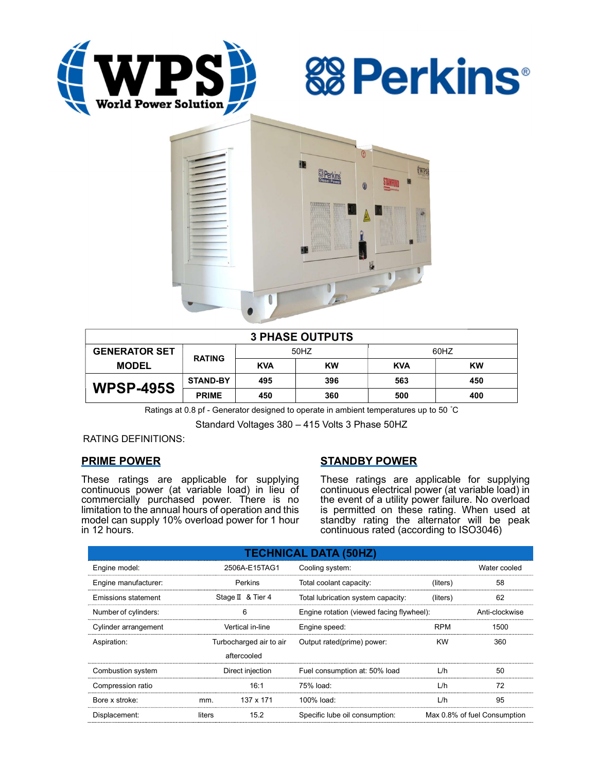





| <b>3 PHASE OUTPUTS</b> |                 |            |           |            |           |  |  |  |
|------------------------|-----------------|------------|-----------|------------|-----------|--|--|--|
| <b>GENERATOR SET</b>   | <b>RATING</b>   | 50HZ       |           | 60HZ       |           |  |  |  |
| <b>MODEL</b>           |                 | <b>KVA</b> | <b>KW</b> | <b>KVA</b> | <b>KW</b> |  |  |  |
| <b>WPSP-495S</b>       | <b>STAND-BY</b> | 495        | 396       | 563        | 450       |  |  |  |
|                        | <b>PRIME</b>    | 450        | 360       | 500        | 400       |  |  |  |

Ratings at 0.8 pf - Generator designed to operate in ambient temperatures up to 50 °C

Standard Voltages 380 – 415 Volts 3 Phase 50HZ

RATING DEFINITIONS:

## PRIME POWER

These ratings are applicable for supplying continuous power (at variable load) in lieu of commercially purchased power. There is no limitation to the annual hours of operation and this model can supply 10% overload power for 1 hour in 12 hours.

## STANDBY POWER

These ratings are applicable for supplying continuous electrical power (at variable load) in the event of a utility power failure. No overload is permitted on these rating. When used at standby rating the alternator will be peak continuous rated (according to ISO3046)

| <b>TECHNICAL DATA (50HZ)</b> |                         |                   |                                           |                              |                |  |  |  |  |
|------------------------------|-------------------------|-------------------|-------------------------------------------|------------------------------|----------------|--|--|--|--|
| Engine model:                | 2506A-E15TAG1           |                   | Cooling system:                           | Water cooled                 |                |  |  |  |  |
| Engine manufacturer:         | Perkins                 |                   | Total coolant capacity:                   | (liters)                     | 58             |  |  |  |  |
| Emissions statement          |                         | Stage II & Tier 4 | Total lubrication system capacity:        | (liters)                     | 62             |  |  |  |  |
| Number of cylinders:         | 6                       |                   | Engine rotation (viewed facing flywheel): |                              | Anti-clockwise |  |  |  |  |
| Cylinder arrangement         | Vertical in-line        |                   | Engine speed:                             | <b>RPM</b>                   | 1500           |  |  |  |  |
| Aspiration:                  | Turbocharged air to air |                   | Output rated(prime) power:                | <b>KW</b>                    | 360            |  |  |  |  |
|                              |                         | aftercooled       |                                           |                              |                |  |  |  |  |
| Combustion system            | Direct injection        |                   | Fuel consumption at: 50% load             | L/h                          | 50             |  |  |  |  |
| Compression ratio            |                         | 16:1              | 75% load:                                 | L/h                          | 72             |  |  |  |  |
| Bore x stroke:               | mm.                     | 137 x 171         | 100% load:                                | L/h                          | 95             |  |  |  |  |
| Displacement:                | liters                  | 15.2              | Specific lube oil consumption:            | Max 0.8% of fuel Consumption |                |  |  |  |  |